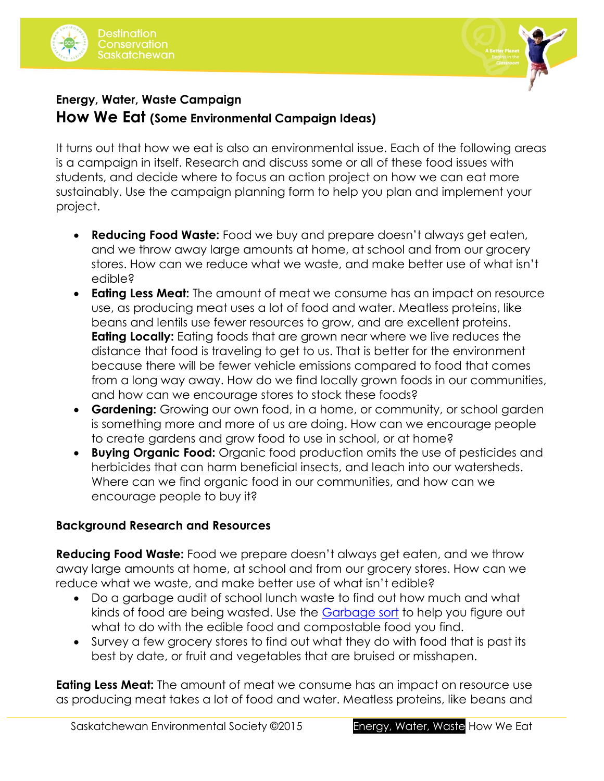



## **Energy, Water, Waste Campaign How We Eat (Some Environmental Campaign Ideas)**

It turns out that how we eat is also an environmental issue. Each of the following areas is a campaign in itself. Research and discuss some or all of these food issues with students, and decide where to focus an action project on how we can eat more sustainably. Use the campaign planning form to help you plan and implement your project.

- **Reducing Food Waste:** Food we buy and prepare doesn't always get eaten, and we throw away large amounts at home, at school and from our grocery stores. How can we reduce what we waste, and make better use of what isn't edible?
- **Eating Less Meat:** The amount of meat we consume has an impact on resource use, as producing meat uses a lot of food and water. Meatless proteins, like beans and lentils use fewer resources to grow, and are excellent proteins. **Eating Locally:** Eating foods that are grown near where we live reduces the distance that food is traveling to get to us. That is better for the environment because there will be fewer vehicle emissions compared to food that comes from a long way away. How do we find locally grown foods in our communities, and how can we encourage stores to stock these foods?
- **Gardening:** Growing our own food, in a home, or community, or school garden is something more and more of us are doing. How can we encourage people to create gardens and grow food to use in school, or at home?
- **Buying Organic Food:** Organic food production omits the use of pesticides and herbicides that can harm beneficial insects, and leach into our watersheds. Where can we find organic food in our communities, and how can we encourage people to buy it?

## **Background Research and Resources**

**Reducing Food Waste:** Food we prepare doesn't always get eaten, and we throw away large amounts at home, at school and from our grocery stores. How can we reduce what we waste, and make better use of what isn't edible?

- Do a garbage audit of school lunch waste to find out how much and what kinds of food are being wasted. Use the [Garbage sort](http://environmentalsociety.ca/wp-content/uploads/2015/07/Waste-audit-garbage-sort.pdf) to help you figure out what to do with the edible food and compostable food you find.
- Survey a few grocery stores to find out what they do with food that is past its best by date, or fruit and vegetables that are bruised or misshapen.

**Eating Less Meat:** The amount of meat we consume has an impact on resource use as producing meat takes a lot of food and water. Meatless proteins, like beans and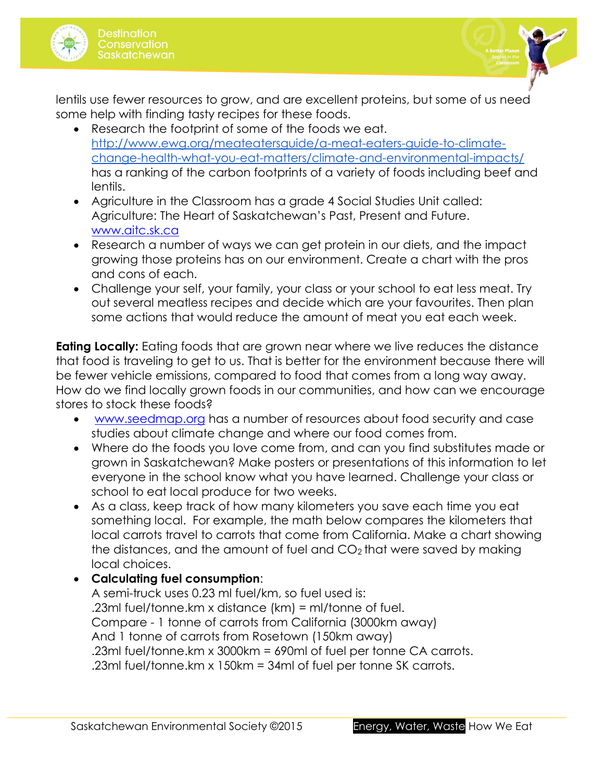



lentils use fewer resources to grow, and are excellent proteins, but some of us need some help with finding tasty recipes for these foods.

- Research the footprint of some of the foods we eat. [http://www.ewg.org/meateatersguide/a-meat-eaters-guide-to-climate](http://www.ewg.org/meateatersguide/a-meat-eaters-guide-to-climate-change-health-what-you-eat-matters/climate-and-environmental-impacts/)[change-health-what-you-eat-matters/climate-and-environmental-impacts/](http://www.ewg.org/meateatersguide/a-meat-eaters-guide-to-climate-change-health-what-you-eat-matters/climate-and-environmental-impacts/) has a ranking of the carbon footprints of a variety of foods including beef and lentils.
- Agriculture in the Classroom has a grade 4 Social Studies Unit called: Agriculture: The Heart of Saskatchewan's Past, Present and Future. [www.aitc.sk.ca](http://www.aitc.sk.ca/)
- Research a number of ways we can get protein in our diets, and the impact growing those proteins has on our environment. Create a chart with the pros and cons of each.
- Challenge your self, your family, your class or your school to eat less meat. Try out several meatless recipes and decide which are your favourites. Then plan some actions that would reduce the amount of meat you eat each week.

**Eating Locally:** Eating foods that are grown near where we live reduces the distance that food is traveling to get to us. That is better for the environment because there will be fewer vehicle emissions, compared to food that comes from a long way away. How do we find locally grown foods in our communities, and how can we encourage stores to stock these foods?

- [www.seedmap.org](http://www.seedmap.org/) has a number of resources about food security and case studies about climate change and where our food comes from.
- Where do the foods you love come from, and can you find substitutes made or grown in Saskatchewan? Make posters or presentations of this information to let everyone in the school know what you have learned. Challenge your class or school to eat local produce for two weeks.
- As a class, keep track of how many kilometers you save each time you eat something local. For example, the math below compares the kilometers that local carrots travel to carrots that come from California. Make a chart showing the distances, and the amount of fuel and  $CO<sub>2</sub>$  that were saved by making local choices.
- **Calculating fuel consumption**:

A semi-truck uses 0.23 ml fuel/km, so fuel used is: .23ml fuel/tonne.km x distance (km) = ml/tonne of fuel. Compare - 1 tonne of carrots from California (3000km away) And 1 tonne of carrots from Rosetown (150km away) .23ml fuel/tonne.km x 3000km = 690ml of fuel per tonne CA carrots. .23ml fuel/tonne.km x 150km = 34ml of fuel per tonne SK carrots.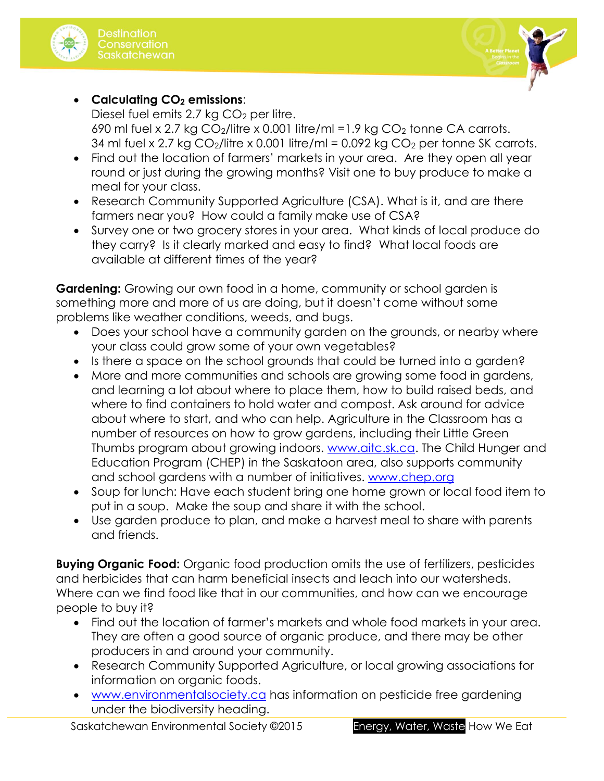



 **Calculating CO<sup>2</sup> emissions**: Diesel fuel emits 2.7 kg  $CO<sub>2</sub>$  per litre. 690 ml fuel x 2.7 kg  $CO_2$ /litre x 0.001 litre/ml =1.9 kg  $CO_2$  tonne CA carrots. 34 ml fuel x 2.7 kg  $CO_2$ /litre x 0.001 litre/ml = 0.092 kg  $CO_2$  per tonne SK carrots.

- Find out the location of farmers' markets in your area. Are they open all year round or just during the growing months? Visit one to buy produce to make a meal for your class.
- Research Community Supported Agriculture (CSA). What is it, and are there farmers near you? How could a family make use of CSA?
- Survey one or two grocery stores in your area. What kinds of local produce do they carry? Is it clearly marked and easy to find? What local foods are available at different times of the year?

**Gardening:** Growing our own food in a home, community or school garden is something more and more of us are doing, but it doesn't come without some problems like weather conditions, weeds, and bugs.

- Does your school have a community garden on the grounds, or nearby where your class could grow some of your own vegetables?
- Is there a space on the school grounds that could be turned into a garden?
- More and more communities and schools are growing some food in gardens, and learning a lot about where to place them, how to build raised beds, and where to find containers to hold water and compost. Ask around for advice about where to start, and who can help. Agriculture in the Classroom has a number of resources on how to grow gardens, including their Little Green Thumbs program about growing indoors. [www.aitc.sk.ca.](http://www.aitc.sk.ca/) The Child Hunger and Education Program (CHEP) in the Saskatoon area, also supports community and school gardens with a number of initiatives. [www.chep.org](http://www.chep.org/)
- Soup for lunch: Have each student bring one home grown or local food item to put in a soup. Make the soup and share it with the school.
- Use garden produce to plan, and make a harvest meal to share with parents and friends.

**Buying Organic Food:** Organic food production omits the use of fertilizers, pesticides and herbicides that can harm beneficial insects and leach into our watersheds. Where can we find food like that in our communities, and how can we encourage people to buy it?

- Find out the location of farmer's markets and whole food markets in your area. They are often a good source of organic produce, and there may be other producers in and around your community.
- Research Community Supported Agriculture, or local growing associations for information on organic foods.
- [www.environmentalsociety.ca](http://environmentalsociety.ca/) has information on pesticide free gardening under the biodiversity heading.

Saskatchewan Environmental Society ©2015 Energy, Water, Waste How We Eat